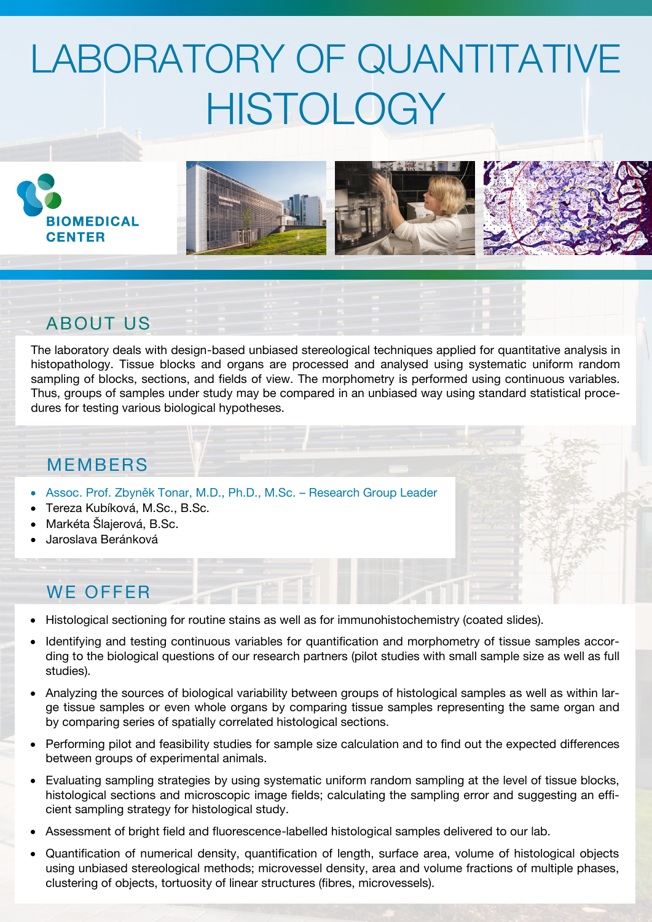# LABORATORY OF QUANTITATIVE **HISTOLOGY**









### ABOUT US

The laboratory deals with design-based unbiased stereological techniques applied for quantitative analysis in histopathology. Tissue blocks and organs are processed and analysed using systematic uniform random sampling of blocks, sections, and fields of view. The morphometry is performed using continuous variables. Thus, groups of samples under study may be compared in an unbiased way using standard statistical procedures for testing various biological hypotheses.

#### **MFMBFRS**

- Assoc. Prof. Zbyněk Tonar, M.D., Ph.D., M.Sc. Research Group Leader
- Tereza Kubíková, M.Sc., B.Sc.
- Markéta Šlajerová, B.Sc.
- Jaroslava Beránková

#### WE OFFER

- Histological sectioning for routine stains as well as for immunohistochemistry (coated slides).
- Identifying and testing continuous variables for quantification and morphometry of tissue samples according to the biological questions of our research partners (pilot studies with small sample size as well as full studies).
- Analyzing the sources of biological variability between groups of histological samples as well as within large tissue samples or even whole organs by comparing tissue samples representing the same organ and by comparing series of spatially correlated histological sections.
- Performing pilot and feasibility studies for sample size calculation and to find out the expected differences between groups of experimental animals.
- Evaluating sampling strategies by using systematic uniform random sampling at the level of tissue blocks, histological sections and microscopic image fields; calculating the sampling error and suggesting an efficient sampling strategy for histological study.
- Assessment of bright field and fluorescence-labelled histological samples delivered to our lab.
- Quantification of numerical density, quantification of length, surface area, volume of histological objects using unbiased stereological methods; microvessel density, area and volume fractions of multiple phases, clustering of objects, tortuosity of linear structures (fibres, microvessels).